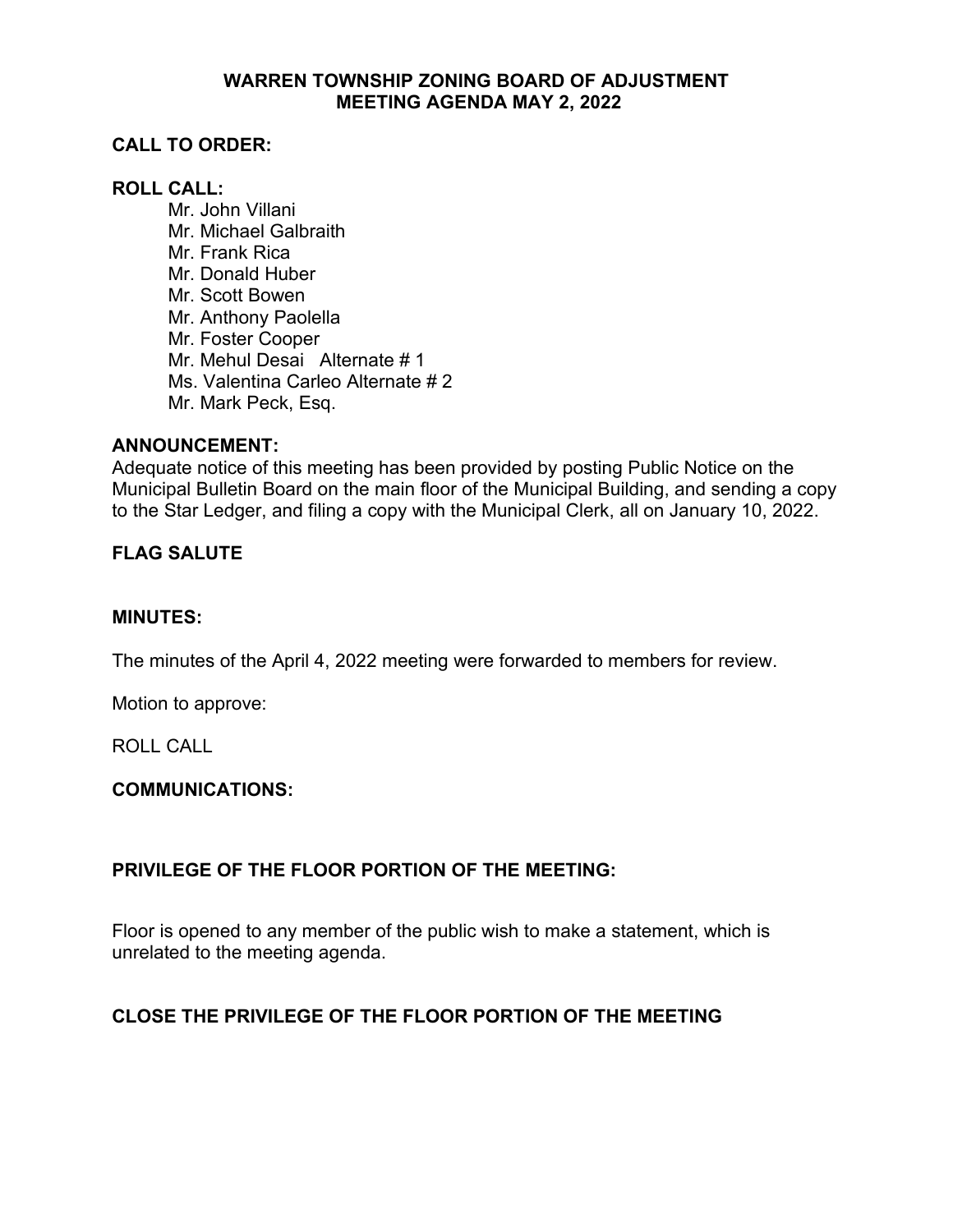### **WARREN TOWNSHIP ZONING BOARD OF ADJUSTMENT MEETING AGENDA MAY 2, 2022**

# **CALL TO ORDER:**

# **ROLL CALL:**

Mr. John Villani Mr. Michael Galbraith Mr. Frank Rica Mr. Donald Huber Mr. Scott Bowen Mr. Anthony Paolella Mr. Foster Cooper Mr. Mehul Desai Alternate # 1 Ms. Valentina Carleo Alternate # 2 Mr. Mark Peck, Esq.

### **ANNOUNCEMENT:**

Adequate notice of this meeting has been provided by posting Public Notice on the Municipal Bulletin Board on the main floor of the Municipal Building, and sending a copy to the Star Ledger, and filing a copy with the Municipal Clerk, all on January 10, 2022.

### **FLAG SALUTE**

#### **MINUTES:**

The minutes of the April 4, 2022 meeting were forwarded to members for review.

Motion to approve:

ROLL CALL

### **COMMUNICATIONS:**

# **PRIVILEGE OF THE FLOOR PORTION OF THE MEETING:**

Floor is opened to any member of the public wish to make a statement, which is unrelated to the meeting agenda.

# **CLOSE THE PRIVILEGE OF THE FLOOR PORTION OF THE MEETING**